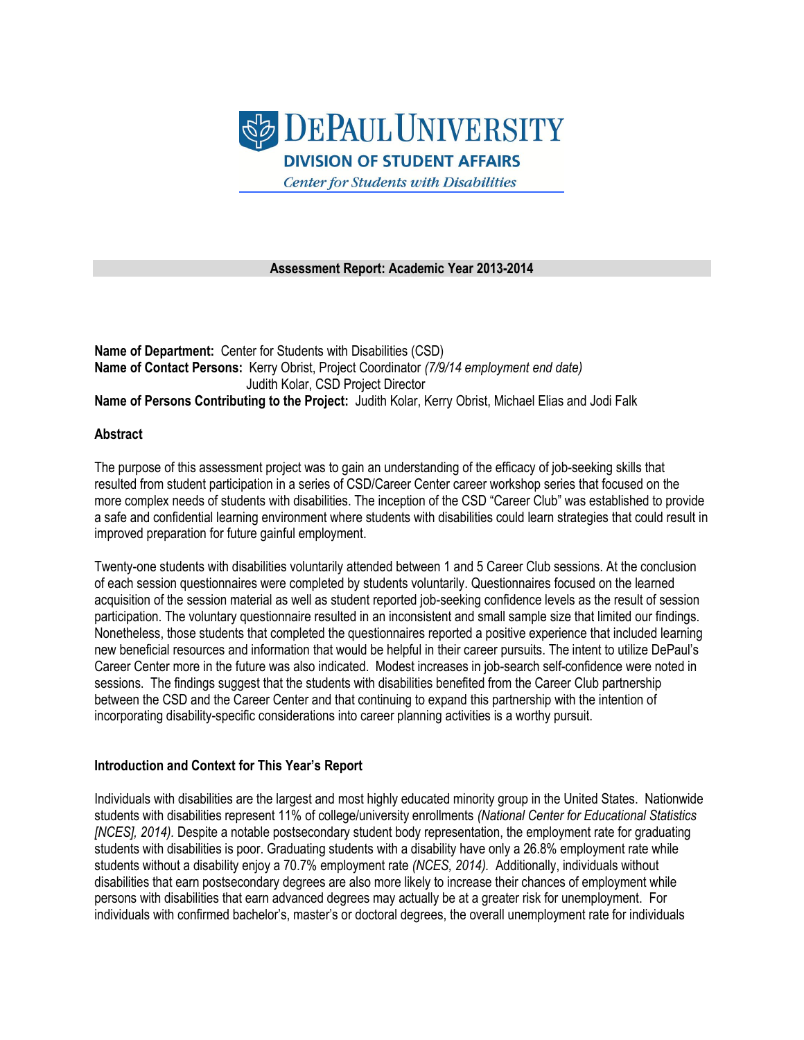

**Assessment Report: Academic Year 2013-2014**

**Name of Department:** Center for Students with Disabilities (CSD) **Name of Contact Persons:** Kerry Obrist, Project Coordinator *(7/9/14 employment end date)* Judith Kolar, CSD Project Director **Name of Persons Contributing to the Project:** Judith Kolar, Kerry Obrist, Michael Elias and Jodi Falk

#### **Abstract**

The purpose of this assessment project was to gain an understanding of the efficacy of job-seeking skills that resulted from student participation in a series of CSD/Career Center career workshop series that focused on the more complex needs of students with disabilities. The inception of the CSD "Career Club" was established to provide a safe and confidential learning environment where students with disabilities could learn strategies that could result in improved preparation for future gainful employment.

Twenty-one students with disabilities voluntarily attended between 1 and 5 Career Club sessions. At the conclusion of each session questionnaires were completed by students voluntarily. Questionnaires focused on the learned acquisition of the session material as well as student reported job-seeking confidence levels as the result of session participation. The voluntary questionnaire resulted in an inconsistent and small sample size that limited our findings. Nonetheless, those students that completed the questionnaires reported a positive experience that included learning new beneficial resources and information that would be helpful in their career pursuits. The intent to utilize DePaul's Career Center more in the future was also indicated. Modest increases in job-search self-confidence were noted in sessions. The findings suggest that the students with disabilities benefited from the Career Club partnership between the CSD and the Career Center and that continuing to expand this partnership with the intention of incorporating disability-specific considerations into career planning activities is a worthy pursuit.

### **Introduction and Context for This Year's Report**

Individuals with disabilities are the largest and most highly educated minority group in the United States. Nationwide students with disabilities represent 11% of college/university enrollments *(National Center for Educational Statistics [NCES], 2014).* Despite a notable postsecondary student body representation, the employment rate for graduating students with disabilities is poor. Graduating students with a disability have only a 26.8% employment rate while students without a disability enjoy a 70.7% employment rate *(NCES, 2014).* Additionally, individuals without disabilities that earn postsecondary degrees are also more likely to increase their chances of employment while persons with disabilities that earn advanced degrees may actually be at a greater risk for unemployment.For individuals with confirmed bachelor's, master's or doctoral degrees, the overall unemployment rate for individuals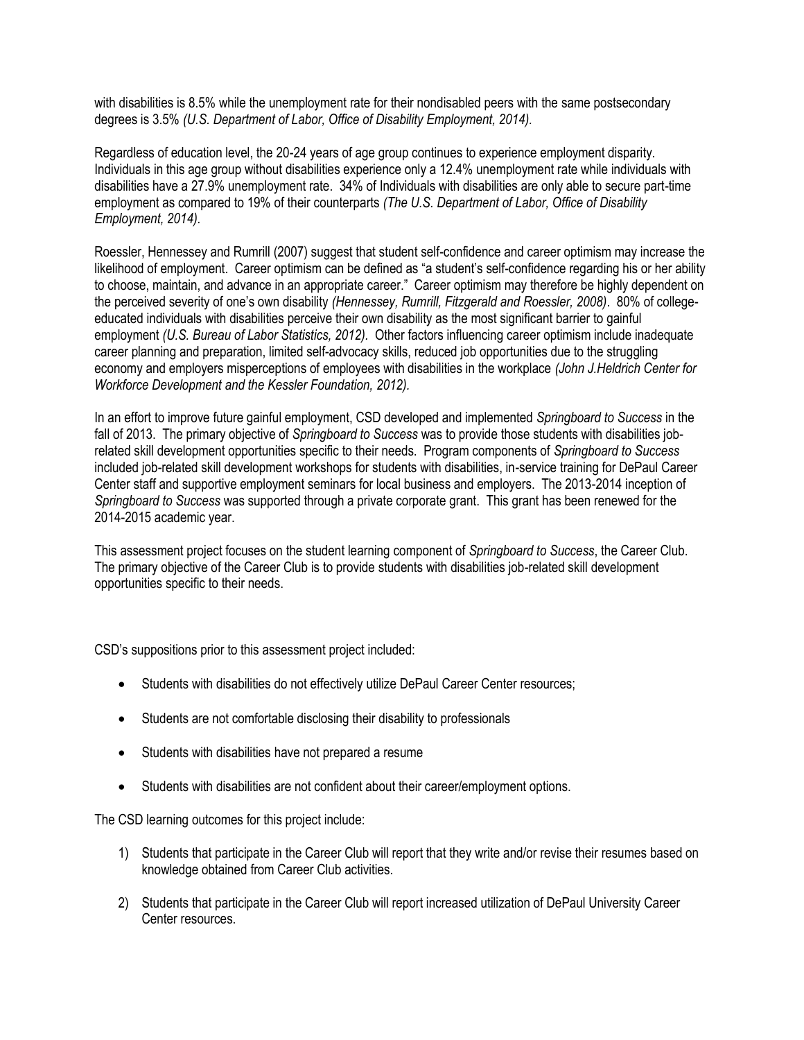with disabilities is 8.5% while the unemployment rate for their nondisabled peers with the same postsecondary degrees is 3.5% *(U.S. Department of Labor, Office of Disability Employment, 2014).*

Regardless of education level, the 20-24 years of age group continues to experience employment disparity. Individuals in this age group without disabilities experience only a 12.4% unemployment rate while individuals with disabilities have a 27.9% unemployment rate. 34% of Individuals with disabilities are only able to secure part-time employment as compared to 19% of their counterparts *(The U.S. Department of Labor, Office of Disability Employment, 2014).*

Roessler, Hennessey and Rumrill (2007) suggest that student self-confidence and career optimism may increase the likelihood of employment. Career optimism can be defined as "a student's self-confidence regarding his or her ability to choose, maintain, and advance in an appropriate career." Career optimism may therefore be highly dependent on the perceived severity of one's own disability *(Hennessey, Rumrill, Fitzgerald and Roessler, 2008)*. 80% of collegeeducated individuals with disabilities perceive their own disability as the most significant barrier to gainful employment *(U.S. Bureau of Labor Statistics, 2012).*Other factors influencing career optimism include inadequate career planning and preparation, limited self-advocacy skills, reduced job opportunities due to the struggling economy and employers misperceptions of employees with disabilities in the workplace *(John J.Heldrich Center for Workforce Development and the Kessler Foundation, 2012).*

In an effort to improve future gainful employment, CSD developed and implemented *Springboard to Success* in the fall of 2013. The primary objective of *Springboard to Success* was to provide those students with disabilities jobrelated skill development opportunities specific to their needs. Program components of *Springboard to Success* included job-related skill development workshops for students with disabilities, in-service training for DePaul Career Center staff and supportive employment seminars for local business and employers. The 2013-2014 inception of *Springboard to Success* was supported through a private corporate grant. This grant has been renewed for the 2014-2015 academic year.

This assessment project focuses on the student learning component of *Springboard to Success*, the Career Club. The primary objective of the Career Club is to provide students with disabilities job-related skill development opportunities specific to their needs.

CSD's suppositions prior to this assessment project included:

- Students with disabilities do not effectively utilize DePaul Career Center resources;
- Students are not comfortable disclosing their disability to professionals
- Students with disabilities have not prepared a resume
- Students with disabilities are not confident about their career/employment options.

The CSD learning outcomes for this project include:

- 1) Students that participate in the Career Club will report that they write and/or revise their resumes based on knowledge obtained from Career Club activities.
- 2) Students that participate in the Career Club will report increased utilization of DePaul University Career Center resources.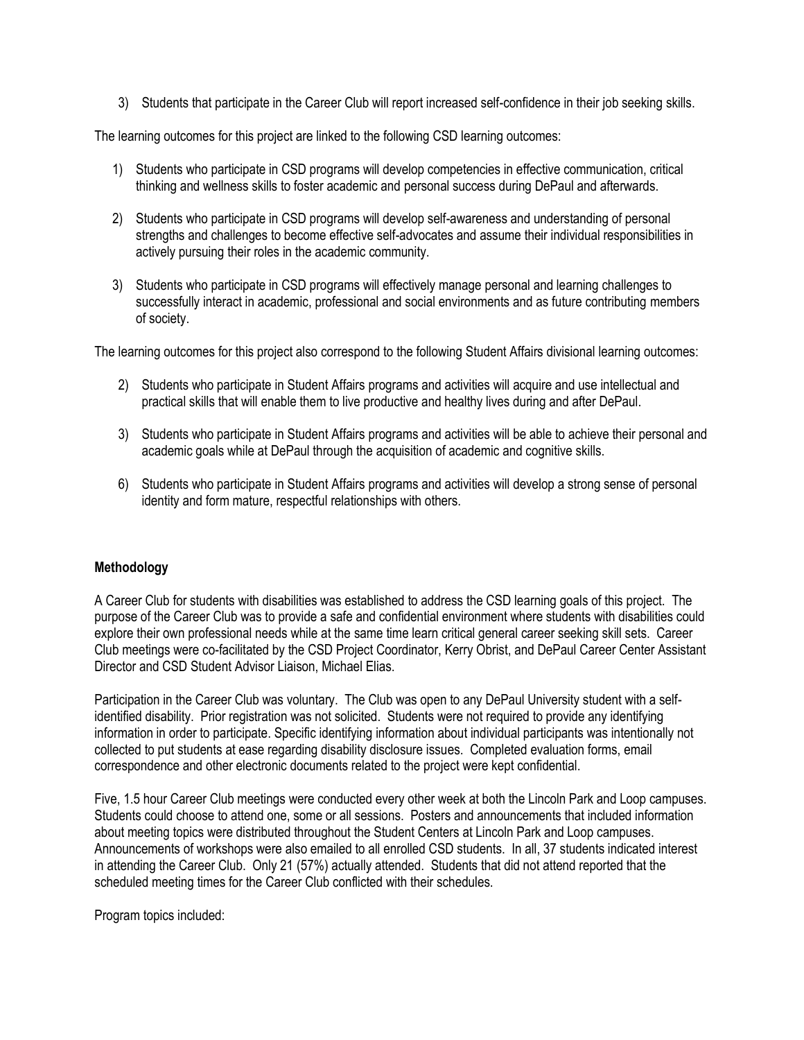3) Students that participate in the Career Club will report increased self-confidence in their job seeking skills.

The learning outcomes for this project are linked to the following CSD learning outcomes:

- 1) Students who participate in CSD programs will develop competencies in effective communication, critical thinking and wellness skills to foster academic and personal success during DePaul and afterwards.
- 2) Students who participate in CSD programs will develop self-awareness and understanding of personal strengths and challenges to become effective self-advocates and assume their individual responsibilities in actively pursuing their roles in the academic community.
- 3) Students who participate in CSD programs will effectively manage personal and learning challenges to successfully interact in academic, professional and social environments and as future contributing members of society.

The learning outcomes for this project also correspond to the following Student Affairs divisional learning outcomes:

- 2) Students who participate in Student Affairs programs and activities will acquire and use intellectual and practical skills that will enable them to live productive and healthy lives during and after DePaul.
- 3) Students who participate in Student Affairs programs and activities will be able to achieve their personal and academic goals while at DePaul through the acquisition of academic and cognitive skills.
- 6) Students who participate in Student Affairs programs and activities will develop a strong sense of personal identity and form mature, respectful relationships with others.

# **Methodology**

A Career Club for students with disabilities was established to address the CSD learning goals of this project. The purpose of the Career Club was to provide a safe and confidential environment where students with disabilities could explore their own professional needs while at the same time learn critical general career seeking skill sets. Career Club meetings were co-facilitated by the CSD Project Coordinator, Kerry Obrist, and DePaul Career Center Assistant Director and CSD Student Advisor Liaison, Michael Elias.

Participation in the Career Club was voluntary. The Club was open to any DePaul University student with a selfidentified disability. Prior registration was not solicited. Students were not required to provide any identifying information in order to participate. Specific identifying information about individual participants was intentionally not collected to put students at ease regarding disability disclosure issues. Completed evaluation forms, email correspondence and other electronic documents related to the project were kept confidential.

Five, 1.5 hour Career Club meetings were conducted every other week at both the Lincoln Park and Loop campuses. Students could choose to attend one, some or all sessions. Posters and announcements that included information about meeting topics were distributed throughout the Student Centers at Lincoln Park and Loop campuses. Announcements of workshops were also emailed to all enrolled CSD students. In all, 37 students indicated interest in attending the Career Club. Only 21 (57%) actually attended. Students that did not attend reported that the scheduled meeting times for the Career Club conflicted with their schedules.

Program topics included: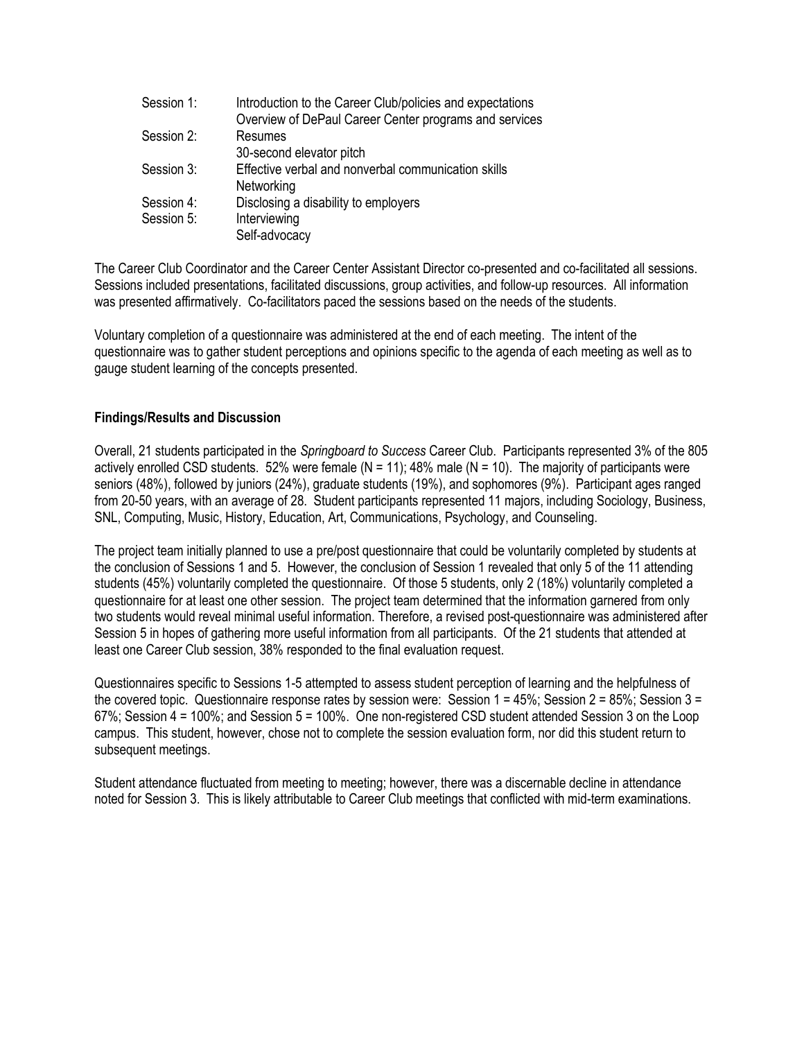| Session 1: | Introduction to the Career Club/policies and expectations |
|------------|-----------------------------------------------------------|
|            | Overview of DePaul Career Center programs and services    |
| Session 2: | Resumes                                                   |
|            | 30-second elevator pitch                                  |
| Session 3: | Effective verbal and nonverbal communication skills       |
|            | Networking                                                |
| Session 4: | Disclosing a disability to employers                      |
| Session 5: | Interviewing                                              |
|            | Self-advocacy                                             |

The Career Club Coordinator and the Career Center Assistant Director co-presented and co-facilitated all sessions. Sessions included presentations, facilitated discussions, group activities, and follow-up resources. All information was presented affirmatively. Co-facilitators paced the sessions based on the needs of the students.

Voluntary completion of a questionnaire was administered at the end of each meeting. The intent of the questionnaire was to gather student perceptions and opinions specific to the agenda of each meeting as well as to gauge student learning of the concepts presented.

### **Findings/Results and Discussion**

Overall, 21 students participated in the *Springboard to Success* Career Club. Participants represented 3% of the 805 actively enrolled CSD students. 52% were female ( $N = 11$ ); 48% male ( $N = 10$ ). The majority of participants were seniors (48%), followed by juniors (24%), graduate students (19%), and sophomores (9%). Participant ages ranged from 20-50 years, with an average of 28. Student participants represented 11 majors, including Sociology, Business, SNL, Computing, Music, History, Education, Art, Communications, Psychology, and Counseling.

The project team initially planned to use a pre/post questionnaire that could be voluntarily completed by students at the conclusion of Sessions 1 and 5. However, the conclusion of Session 1 revealed that only 5 of the 11 attending students (45%) voluntarily completed the questionnaire. Of those 5 students, only 2 (18%) voluntarily completed a questionnaire for at least one other session. The project team determined that the information garnered from only two students would reveal minimal useful information. Therefore, a revised post-questionnaire was administered after Session 5 in hopes of gathering more useful information from all participants. Of the 21 students that attended at least one Career Club session, 38% responded to the final evaluation request.

Questionnaires specific to Sessions 1-5 attempted to assess student perception of learning and the helpfulness of the covered topic. Questionnaire response rates by session were: Session 1 = 45%; Session 2 = 85%; Session 3 = 67%; Session 4 = 100%; and Session 5 = 100%. One non-registered CSD student attended Session 3 on the Loop campus. This student, however, chose not to complete the session evaluation form, nor did this student return to subsequent meetings.

Student attendance fluctuated from meeting to meeting; however, there was a discernable decline in attendance noted for Session 3. This is likely attributable to Career Club meetings that conflicted with mid-term examinations.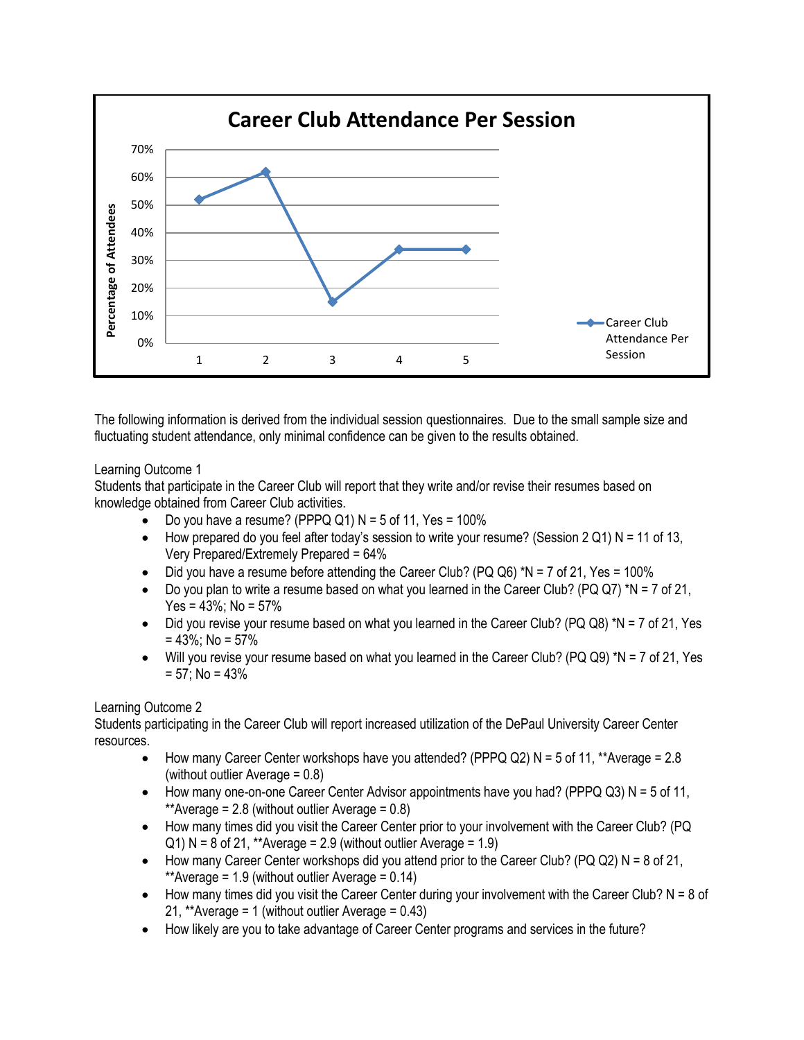

The following information is derived from the individual session questionnaires. Due to the small sample size and fluctuating student attendance, only minimal confidence can be given to the results obtained.

## Learning Outcome 1

Students that participate in the Career Club will report that they write and/or revise their resumes based on knowledge obtained from Career Club activities.

- Do you have a resume? (PPPQ Q1)  $N = 5$  of 11, Yes = 100%
- How prepared do you feel after today's session to write your resume? (Session  $2 Q1$ ) N = 11 of 13, Very Prepared/Extremely Prepared = 64%
- $\bullet$  Did you have a resume before attending the Career Club? (PQ Q6) \*N = 7 of 21, Yes = 100%
- Do you plan to write a resume based on what you learned in the Career Club? (PQ Q7) \*N = 7 of 21, Yes =  $43\%$ ; No =  $57\%$
- $\bullet$  Did you revise your resume based on what you learned in the Career Club? (PQ Q8) \*N = 7 of 21, Yes  $= 43\%$ ; No = 57%
- $\bullet$  Will you revise your resume based on what you learned in the Career Club? (PQ Q9) \*N = 7 of 21, Yes  $= 57$ ; No = 43%

# Learning Outcome 2

Students participating in the Career Club will report increased utilization of the DePaul University Career Center resources.

- How many Career Center workshops have you attended? (PPPQ Q2)  $N = 5$  of 11, \*\*Average = 2.8 (without outlier Average = 0.8)
- How many one-on-one Career Center Advisor appointments have you had? (PPPQ  $Q3$ ) N = 5 of 11, \*\*Average =  $2.8$  (without outlier Average =  $0.8$ )
- How many times did you visit the Career Center prior to your involvement with the Career Club? (PQ  $Q1$ ) N = 8 of 21, \*\*Average = 2.9 (without outlier Average = 1.9)
- How many Career Center workshops did you attend prior to the Career Club? (PQ Q2)  $N = 8$  of 21, \*\*Average =  $1.9$  (without outlier Average =  $0.14$ )
- $\bullet$  How many times did you visit the Career Center during your involvement with the Career Club? N = 8 of 21, \*\*Average = 1 (without outlier Average = 0.43)
- How likely are you to take advantage of Career Center programs and services in the future?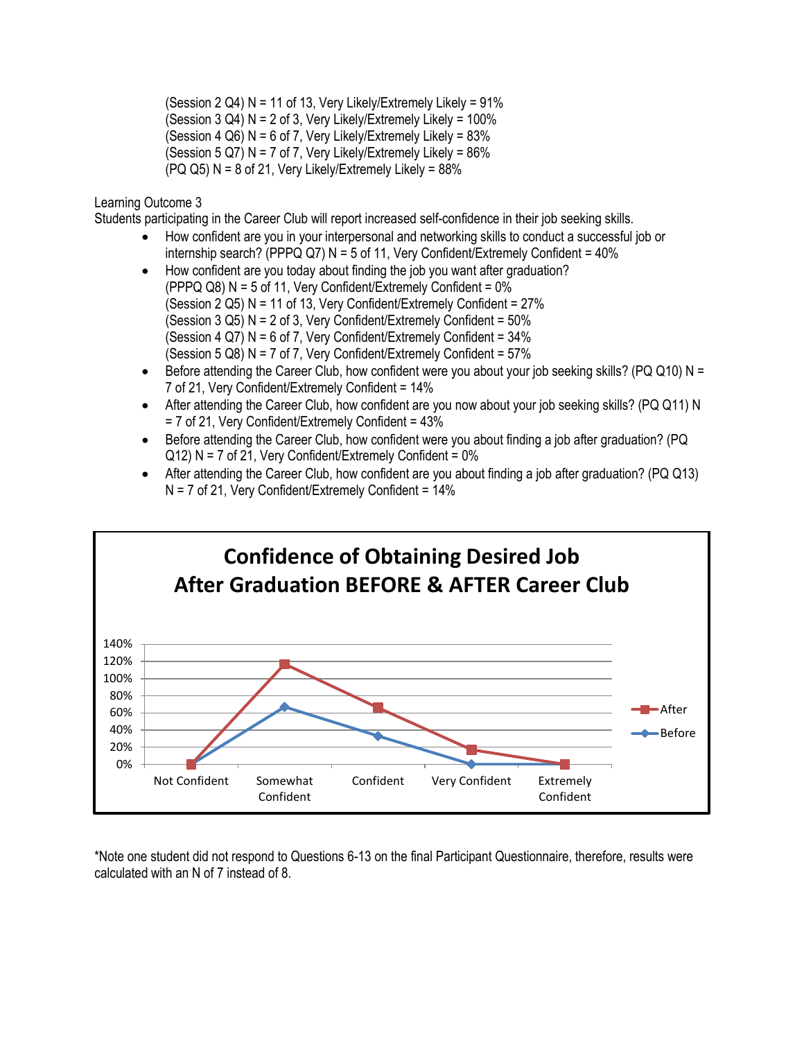(Session 2 Q4) N = 11 of 13, Very Likely/Extremely Likely = 91% (Session  $3$  Q4) N = 2 of  $3$ , Very Likely/Extremely Likely =  $100\%$ (Session 4 Q6)  $N = 6$  of 7, Very Likely/Extremely Likely = 83% (Session  $5 Q7$ ) N = 7 of 7, Very Likely/Extremely Likely =  $86\%$  $( PQ \ Q5)$  N = 8 of 21, Very Likely/Extremely Likely = 88%

Learning Outcome 3

Students participating in the Career Club will report increased self-confidence in their job seeking skills.

- How confident are you in your interpersonal and networking skills to conduct a successful job or internship search? (PPPQ Q7) N = 5 of 11, Very Confident/Extremely Confident =  $40\%$
- How confident are you today about finding the job you want after graduation? (PPPQ Q8)  $N = 5$  of 11, Very Confident/Extremely Confident =  $0\%$ (Session 2 Q5) N = 11 of 13, Very Confident/Extremely Confident = 27% (Session  $3$  Q5) N = 2 of 3, Very Confident/Extremely Confident =  $50\%$ (Session 4 Q7)  $N = 6$  of 7, Very Confident/Extremely Confident =  $34\%$ (Session 5 Q8) N = 7 of 7, Very Confident/Extremely Confident = 57%
- $\bullet$  Before attending the Career Club, how confident were you about your job seeking skills? (PQ Q10) N = 7 of 21, Very Confident/Extremely Confident = 14%
- After attending the Career Club, how confident are you now about your job seeking skills? (PQ Q11) N = 7 of 21, Very Confident/Extremely Confident = 43%
- Before attending the Career Club, how confident were you about finding a job after graduation? (PQ  $Q12$ ) N = 7 of 21, Very Confident/Extremely Confident = 0%
- After attending the Career Club, how confident are you about finding a job after graduation? (PQ Q13)  $N = 7$  of 21, Very Confident/Extremely Confident = 14%



\*Note one student did not respond to Questions 6-13 on the final Participant Questionnaire, therefore, results were calculated with an N of 7 instead of 8.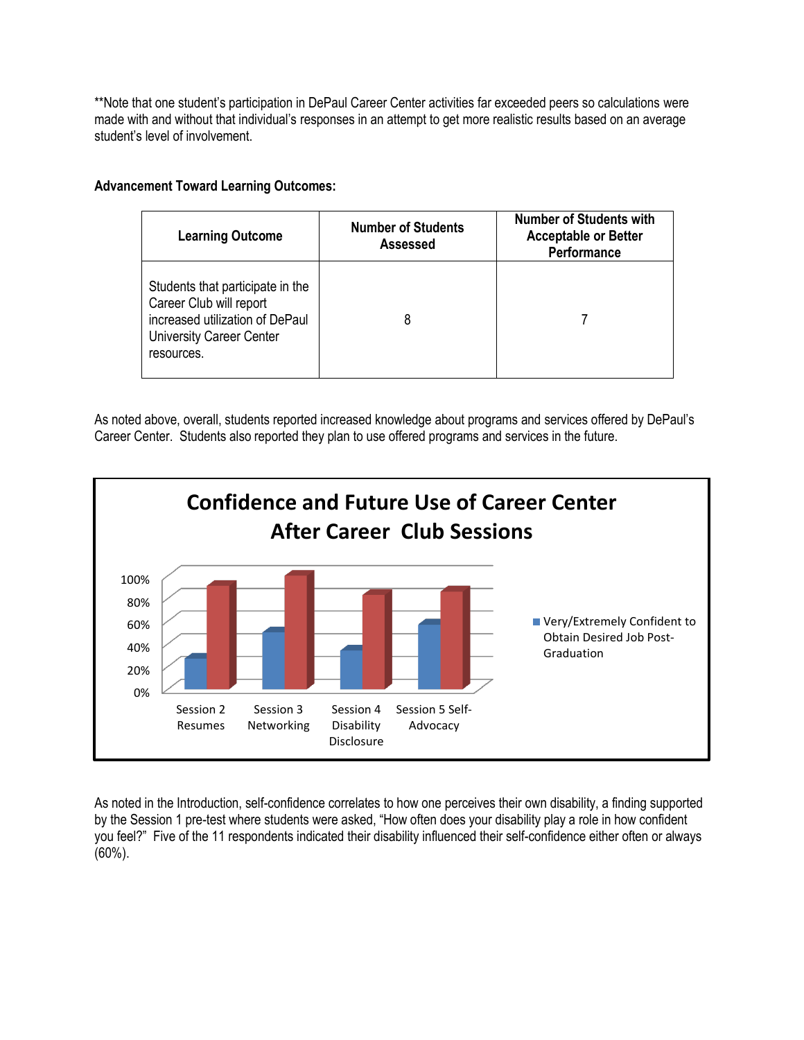\*\*Note that one student's participation in DePaul Career Center activities far exceeded peers so calculations were made with and without that individual's responses in an attempt to get more realistic results based on an average student's level of involvement.

## **Advancement Toward Learning Outcomes:**

| <b>Learning Outcome</b>                                                                                                                         | <b>Number of Students</b><br>Assessed | <b>Number of Students with</b><br><b>Acceptable or Better</b><br><b>Performance</b> |
|-------------------------------------------------------------------------------------------------------------------------------------------------|---------------------------------------|-------------------------------------------------------------------------------------|
| Students that participate in the<br>Career Club will report<br>increased utilization of DePaul<br><b>University Career Center</b><br>resources. |                                       |                                                                                     |

As noted above, overall, students reported increased knowledge about programs and services offered by DePaul's Career Center. Students also reported they plan to use offered programs and services in the future.



As noted in the Introduction, self-confidence correlates to how one perceives their own disability, a finding supported by the Session 1 pre-test where students were asked, "How often does your disability play a role in how confident you feel?" Five of the 11 respondents indicated their disability influenced their self-confidence either often or always (60%).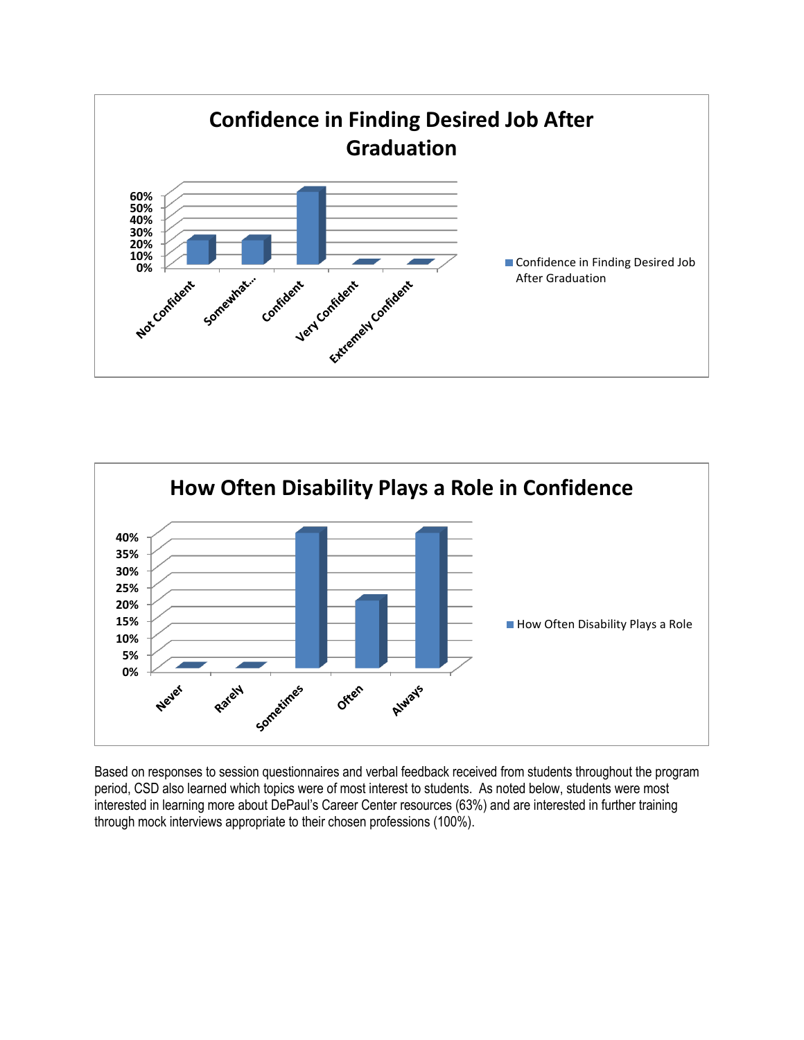



Based on responses to session questionnaires and verbal feedback received from students throughout the program period, CSD also learned which topics were of most interest to students. As noted below, students were most interested in learning more about DePaul's Career Center resources (63%) and are interested in further training through mock interviews appropriate to their chosen professions (100%).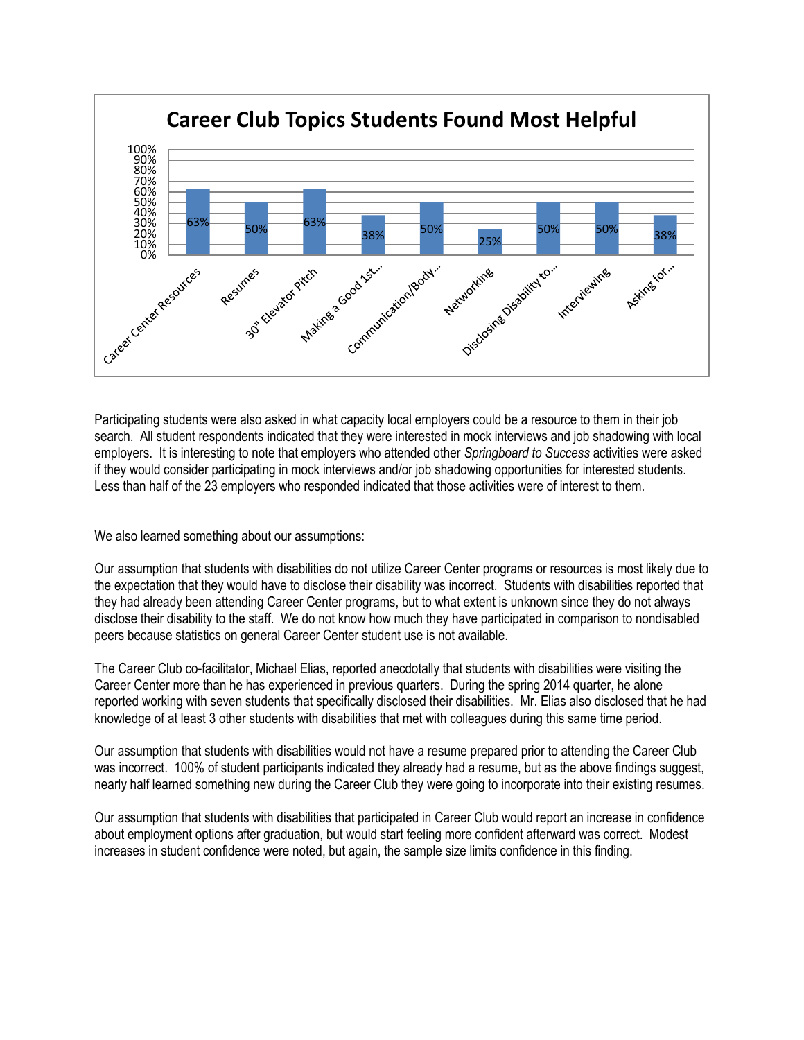

Participating students were also asked in what capacity local employers could be a resource to them in their job search. All student respondents indicated that they were interested in mock interviews and job shadowing with local employers. It is interesting to note that employers who attended other *Springboard to Success* activities were asked if they would consider participating in mock interviews and/or job shadowing opportunities for interested students. Less than half of the 23 employers who responded indicated that those activities were of interest to them.

We also learned something about our assumptions:

Our assumption that students with disabilities do not utilize Career Center programs or resources is most likely due to the expectation that they would have to disclose their disability was incorrect. Students with disabilities reported that they had already been attending Career Center programs, but to what extent is unknown since they do not always disclose their disability to the staff. We do not know how much they have participated in comparison to nondisabled peers because statistics on general Career Center student use is not available.

The Career Club co-facilitator, Michael Elias, reported anecdotally that students with disabilities were visiting the Career Center more than he has experienced in previous quarters. During the spring 2014 quarter, he alone reported working with seven students that specifically disclosed their disabilities. Mr. Elias also disclosed that he had knowledge of at least 3 other students with disabilities that met with colleagues during this same time period.

Our assumption that students with disabilities would not have a resume prepared prior to attending the Career Club was incorrect. 100% of student participants indicated they already had a resume, but as the above findings suggest, nearly half learned something new during the Career Club they were going to incorporate into their existing resumes.

Our assumption that students with disabilities that participated in Career Club would report an increase in confidence about employment options after graduation, but would start feeling more confident afterward was correct. Modest increases in student confidence were noted, but again, the sample size limits confidence in this finding.